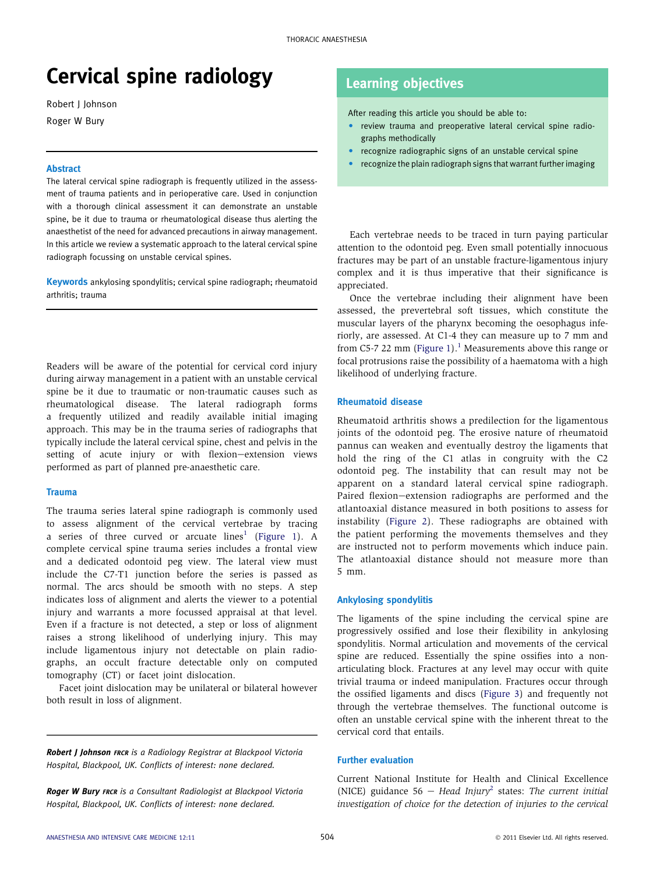# Cervical spine radiology

Robert J Johnson Roger W Bury

#### **Abstract**

The lateral cervical spine radiograph is frequently utilized in the assessment of trauma patients and in perioperative care. Used in conjunction with a thorough clinical assessment it can demonstrate an unstable spine, be it due to trauma or rheumatological disease thus alerting the anaesthetist of the need for advanced precautions in airway management. In this article we review a systematic approach to the lateral cervical spine radiograph focussing on unstable cervical spines.

Keywords ankylosing spondylitis; cervical spine radiograph; rheumatoid arthritis; trauma

Readers will be aware of the potential for cervical cord injury during airway management in a patient with an unstable cervical spine be it due to traumatic or non-traumatic causes such as rheumatological disease. The lateral radiograph forms a frequently utilized and readily available initial imaging approach. This may be in the trauma series of radiographs that typically include the lateral cervical spine, chest and pelvis in the setting of acute injury or with flexion-extension views performed as part of planned pre-anaesthetic care.

#### **Trauma**

The trauma series lateral spine radiograph is commonly used to assess alignment of the cervical vertebrae by tracing a series of three curved or arcuate  $lines<sup>1</sup>$  $lines<sup>1</sup>$  $lines<sup>1</sup>$  ([Figure 1\)](#page-1-0). A complete cervical spine trauma series includes a frontal view and a dedicated odontoid peg view. The lateral view must include the C7-T1 junction before the series is passed as normal. The arcs should be smooth with no steps. A step indicates loss of alignment and alerts the viewer to a potential injury and warrants a more focussed appraisal at that level. Even if a fracture is not detected, a step or loss of alignment raises a strong likelihood of underlying injury. This may include ligamentous injury not detectable on plain radiographs, an occult fracture detectable only on computed tomography (CT) or facet joint dislocation.

Facet joint dislocation may be unilateral or bilateral however both result in loss of alignment.

Robert J Johnson FRCR is a Radiology Registrar at Blackpool Victoria Hospital, Blackpool, UK. Conflicts of interest: none declared.

**Roger W Bury FRCR** is a Consultant Radiologist at Blackpool Victoria Hospital, Blackpool, UK. Conflicts of interest: none declared.

## Learning objectives

After reading this article you should be able to:

- review trauma and preoperative lateral cervical spine radiographs methodically
- recognize radiographic signs of an unstable cervical spine
- recognize the plain radiograph signs that warrant further imaging

Each vertebrae needs to be traced in turn paying particular attention to the odontoid peg. Even small potentially innocuous fractures may be part of an unstable fracture-ligamentous injury complex and it is thus imperative that their significance is appreciated.

Once the vertebrae including their alignment have been assessed, the prevertebral soft tissues, which constitute the muscular layers of the pharynx becoming the oesophagus inferiorly, are assessed. At C1-4 they can measure up to 7 mm and from C5-7 22 mm ([Figure 1\)](#page-1-0).<sup>[1](#page-2-0)</sup> Measurements above this range or focal protrusions raise the possibility of a haematoma with a high likelihood of underlying fracture.

#### Rheumatoid disease

Rheumatoid arthritis shows a predilection for the ligamentous joints of the odontoid peg. The erosive nature of rheumatoid pannus can weaken and eventually destroy the ligaments that hold the ring of the C1 atlas in congruity with the C2 odontoid peg. The instability that can result may not be apparent on a standard lateral cervical spine radiograph. Paired flexion-extension radiographs are performed and the atlantoaxial distance measured in both positions to assess for instability ([Figure 2\)](#page-1-0). These radiographs are obtained with the patient performing the movements themselves and they are instructed not to perform movements which induce pain. The atlantoaxial distance should not measure more than 5 mm.

#### Ankylosing spondylitis

The ligaments of the spine including the cervical spine are progressively ossified and lose their flexibility in ankylosing spondylitis. Normal articulation and movements of the cervical spine are reduced. Essentially the spine ossifies into a nonarticulating block. Fractures at any level may occur with quite trivial trauma or indeed manipulation. Fractures occur through the ossified ligaments and discs [\(Figure 3\)](#page-2-0) and frequently not through the vertebrae themselves. The functional outcome is often an unstable cervical spine with the inherent threat to the cervical cord that entails.

#### Further evaluation

Current National Institute for Health and Clinical Excellence (NICE) guidance 56 - Head Injury<sup>[2](#page-2-0)</sup> states: The current initial investigation of choice for the detection of injuries to the cervical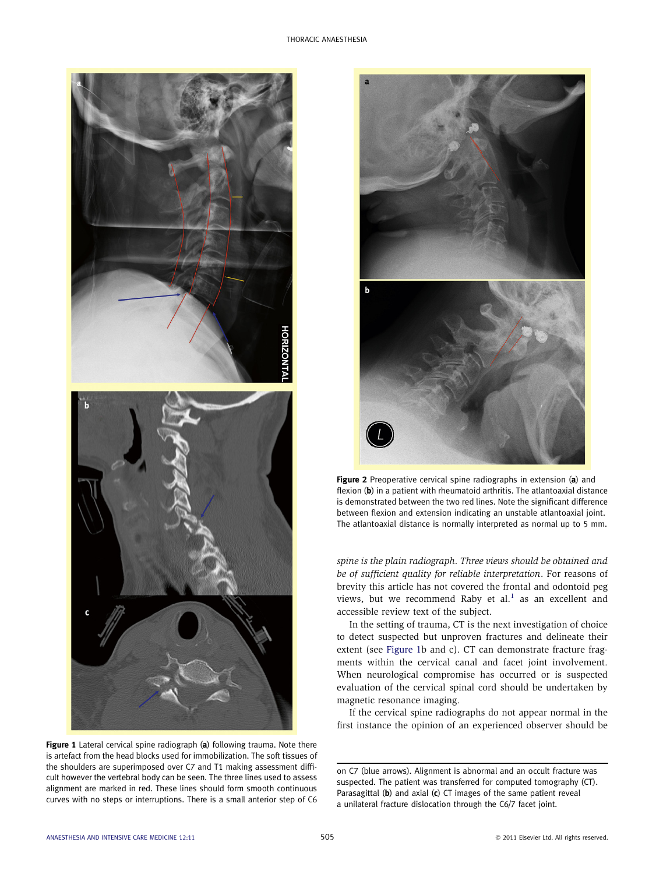<span id="page-1-0"></span>

Figure 1 Lateral cervical spine radiograph (a) following trauma. Note there is artefact from the head blocks used for immobilization. The soft tissues of the shoulders are superimposed over C7 and T1 making assessment difficult however the vertebral body can be seen. The three lines used to assess alignment are marked in red. These lines should form smooth continuous curves with no steps or interruptions. There is a small anterior step of C6



Figure 2 Preoperative cervical spine radiographs in extension (a) and flexion (b) in a patient with rheumatoid arthritis. The atlantoaxial distance is demonstrated between the two red lines. Note the significant difference between flexion and extension indicating an unstable atlantoaxial joint. The atlantoaxial distance is normally interpreted as normal up to 5 mm.

spine is the plain radiograph. Three views should be obtained and be of sufficient quality for reliable interpretation. For reasons of brevity this article has not covered the frontal and odontoid peg views, but we recommend Raby et al. $<sup>1</sup>$  $<sup>1</sup>$  $<sup>1</sup>$  as an excellent and</sup> accessible review text of the subject.

In the setting of trauma, CT is the next investigation of choice to detect suspected but unproven fractures and delineate their extent (see Figure 1b and c). CT can demonstrate fracture fragments within the cervical canal and facet joint involvement. When neurological compromise has occurred or is suspected evaluation of the cervical spinal cord should be undertaken by magnetic resonance imaging.

If the cervical spine radiographs do not appear normal in the first instance the opinion of an experienced observer should be

on C7 (blue arrows). Alignment is abnormal and an occult fracture was suspected. The patient was transferred for computed tomography (CT). Parasagittal (b) and axial (c) CT images of the same patient reveal a unilateral fracture dislocation through the C6/7 facet joint.